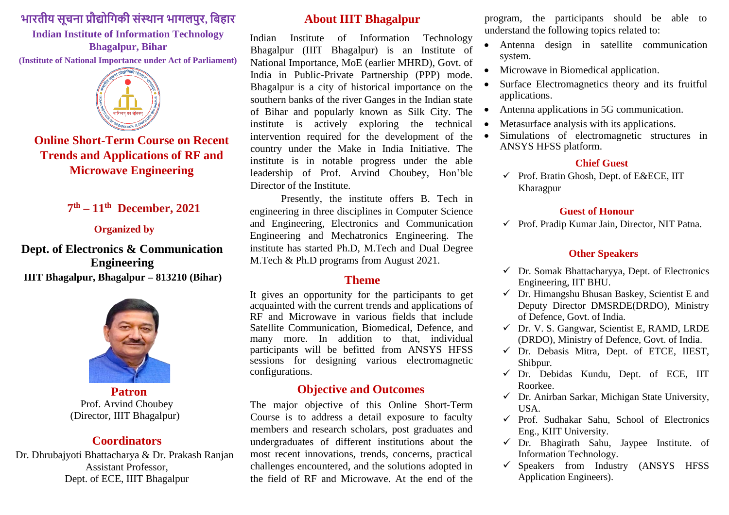# **भारतीय सूचना प्रौद्योगिकी संस्थान भािलपुर, गिहार**

# **Indian Institute of Information Technology Bhagalpur, Bihar**

**(Institute of National Importance under Act of Parliament)**



**Online Short-Term Course on Recent Trends and Applications of RF and Microwave Engineering** 

# **7 th – 11 th December, 2021**

#### **Organized by**

### **Dept. of Electronics & Communication Engineering IIIT Bhagalpur, Bhagalpur – 813210 (Bihar)**



 **Patron**  Prof. Arvind Choubey (Director, IIIT Bhagalpur)

### **Coordinators**

Dr. Dhrubajyoti Bhattacharya & Dr. Prakash Ranjan Assistant Professor, Dept. of ECE, IIIT Bhagalpur

#### **About IIIT Bhagalpur**

Indian Institute of Information Technology Bhagalpur (IIIT Bhagalpur) is an Institute of National Importance, MoE (earlier MHRD), Govt. of India in Public-Private Partnership (PPP) mode. Bhagalpur is a city of historical importance on the southern banks of the river Ganges in the Indian state of Bihar and popularly known as Silk City. The institute is actively exploring the technical intervention required for the development of the country under the Make in India Initiative. The institute is in notable progress under the able leadership of Prof. Arvind Choubey, Hon'ble Director of the Institute.

Presently, the institute offers B. Tech in engineering in three disciplines in Computer Science and Engineering, Electronics and Communication Engineering and Mechatronics Engineering. The institute has started Ph.D, M.Tech and Dual Degree M.Tech & Ph.D programs from August 2021.

### **Theme**

It gives an opportunity for the participants to get acquainted with the current trends and applications of RF and Microwave in various fields that include Satellite Communication, Biomedical, Defence, and many more. In addition to that, individual participants will be befitted from ANSYS HFSS sessions for designing various electromagnetic configurations.

#### **Objective and Outcomes**

The major objective of this Online Short-Term Course is to address a detail exposure to faculty members and research scholars, post graduates and undergraduates of different institutions about the most recent innovations, trends, concerns, practical challenges encountered, and the solutions adopted in the field of RF and Microwave. At the end of the

program, the participants should be able to understand the following topics related to:

- Antenna design in satellite communication system.
- Microwave in Biomedical application.
- Surface Electromagnetics theory and its fruitful applications.
- Antenna applications in 5G communication.
- Metasurface analysis with its applications.
- Simulations of electromagnetic structures in ANSYS HFSS platform.

#### **Chief Guest**

 $\checkmark$  Prof. Bratin Ghosh, Dept. of E&ECE, IIT Kharagpur

#### **Guest of Honour**

 $\checkmark$  Prof. Pradip Kumar Jain, Director, NIT Patna.

#### **Other Speakers**

- $\checkmark$  Dr. Somak Bhattacharyya, Dept. of Electronics Engineering, IIT BHU.
- $\checkmark$  Dr. Himangshu Bhusan Baskey, Scientist E and Deputy Director DMSRDE(DRDO), Ministry of Defence, Govt. of India.
- ✓ Dr. V. S. Gangwar, Scientist E, RAMD, LRDE (DRDO), Ministry of Defence, Govt. of India.
- $\checkmark$  Dr. Debasis Mitra, Dept. of ETCE, IIEST, Shibpur.
- $\checkmark$  Dr. Debidas Kundu, Dept. of ECE, IIT Roorkee.
- $\checkmark$  Dr. Anirban Sarkar, Michigan State University, USA.
- ✓ Prof. Sudhakar Sahu, School of Electronics Eng., KIIT University.
- $\checkmark$  Dr. Bhagirath Sahu, Jaypee Institute. of Information Technology.
- $\checkmark$  Speakers from Industry (ANSYS HFSS Application Engineers).